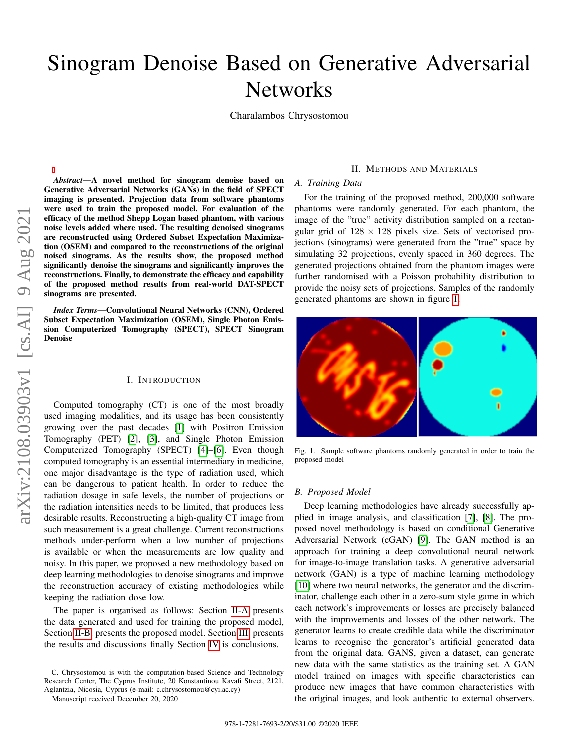# Sinogram Denoise Based on Generative Adversarial **Networks**

Charalambos Chrysostomou

*Abstract*—A novel method for sinogram denoise based on Generative Adversarial Networks (GANs) in the field of SPECT imaging is presented. Projection data from software phantoms were used to train the proposed model. For evaluation of the efficacy of the method Shepp Logan based phantom, with various noise levels added where used. The resulting denoised sinograms are reconstructed using Ordered Subset Expectation Maximization (OSEM) and compared to the reconstructions of the original noised sinograms. As the results show, the proposed method significantly denoise the sinograms and significantly improves the reconstructions. Finally, to demonstrate the efficacy and capability of the proposed method results from real-world DAT-SPECT sinograms are presented.

*Index Terms*—Convolutional Neural Networks (CNN), Ordered Subset Expectation Maximization (OSEM), Single Photon Emission Computerized Tomography (SPECT), SPECT Sinogram Denoise

## I. INTRODUCTION

Computed tomography (CT) is one of the most broadly used imaging modalities, and its usage has been consistently growing over the past decades [\[1\]](#page-2-0) with Positron Emission Tomography (PET) [\[2\]](#page-2-1), [\[3\]](#page-2-2), and Single Photon Emission Computerized Tomography (SPECT) [\[4\]](#page-2-3)–[\[6\]](#page-2-4). Even though computed tomography is an essential intermediary in medicine, one major disadvantage is the type of radiation used, which can be dangerous to patient health. In order to reduce the radiation dosage in safe levels, the number of projections or the radiation intensities needs to be limited, that produces less desirable results. Reconstructing a high-quality CT image from such measurement is a great challenge. Current reconstructions methods under-perform when a low number of projections is available or when the measurements are low quality and noisy. In this paper, we proposed a new methodology based on deep learning methodologies to denoise sinograms and improve the reconstruction accuracy of existing methodologies while keeping the radiation dose low.

The paper is organised as follows: Section [II-A](#page-0-0) presents the data generated and used for training the proposed model, Section [II-B,](#page-0-1) presents the proposed model. Section [III,](#page-1-0) presents the results and discussions finally Section [IV](#page-2-5) is conclusions.

C. Chrysostomou is with the computation-based Science and Technology Research Center, The Cyprus Institute, 20 Konstantinou Kavafi Street, 2121, Aglantzia, Nicosia, Cyprus (e-mail: c.chrysostomou@cyi.ac.cy)

#### II. METHODS AND MATERIALS

# <span id="page-0-0"></span>*A. Training Data*

For the training of the proposed method, 200,000 software phantoms were randomly generated. For each phantom, the image of the "true" activity distribution sampled on a rectangular grid of  $128 \times 128$  pixels size. Sets of vectorised projections (sinograms) were generated from the "true" space by simulating 32 projections, evenly spaced in 360 degrees. The generated projections obtained from the phantom images were further randomised with a Poisson probability distribution to provide the noisy sets of projections. Samples of the randomly generated phantoms are shown in figure [1.](#page-0-2)



Fig. 1. Sample software phantoms randomly generated in order to train the proposed model

#### <span id="page-0-2"></span><span id="page-0-1"></span>*B. Proposed Model*

Deep learning methodologies have already successfully applied in image analysis, and classification [\[7\]](#page-2-6), [\[8\]](#page-2-7). The proposed novel methodology is based on conditional Generative Adversarial Network (cGAN) [\[9\]](#page-2-8). The GAN method is an approach for training a deep convolutional neural network for image-to-image translation tasks. A generative adversarial network (GAN) is a type of machine learning methodology [\[10\]](#page-2-9) where two neural networks, the generator and the discriminator, challenge each other in a zero-sum style game in which each network's improvements or losses are precisely balanced with the improvements and losses of the other network. The generator learns to create credible data while the discriminator learns to recognise the generator's artificial generated data from the original data. GANS, given a dataset, can generate new data with the same statistics as the training set. A GAN model trained on images with specific characteristics can produce new images that have common characteristics with the original images, and look authentic to external observers.

Manuscript received December 20, 2020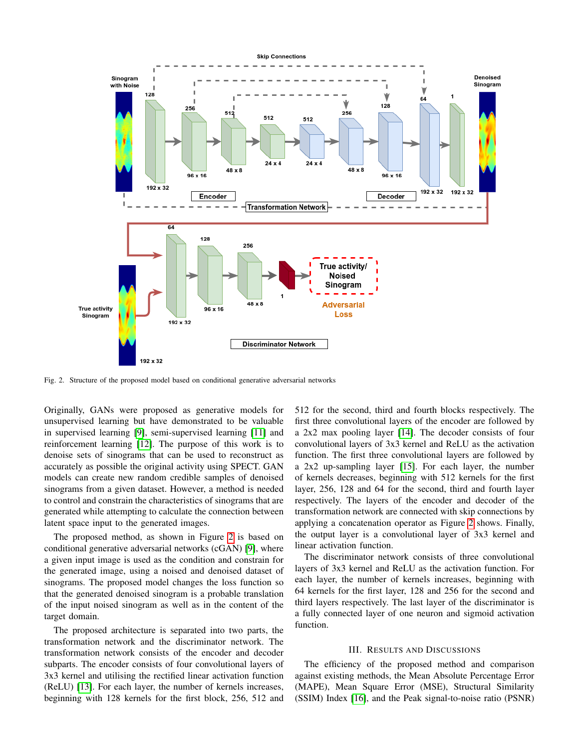

<span id="page-1-1"></span>Fig. 2. Structure of the proposed model based on conditional generative adversarial networks

Originally, GANs were proposed as generative models for unsupervised learning but have demonstrated to be valuable in supervised learning [\[9\]](#page-2-8), semi-supervised learning [\[11\]](#page-2-10) and reinforcement learning [\[12\]](#page-2-11). The purpose of this work is to denoise sets of sinograms that can be used to reconstruct as accurately as possible the original activity using SPECT. GAN models can create new random credible samples of denoised sinograms from a given dataset. However, a method is needed to control and constrain the characteristics of sinograms that are generated while attempting to calculate the connection between latent space input to the generated images.

The proposed method, as shown in Figure [2](#page-1-1) is based on conditional generative adversarial networks (cGAN) [\[9\]](#page-2-8), where a given input image is used as the condition and constrain for the generated image, using a noised and denoised dataset of sinograms. The proposed model changes the loss function so that the generated denoised sinogram is a probable translation of the input noised sinogram as well as in the content of the target domain.

The proposed architecture is separated into two parts, the transformation network and the discriminator network. The transformation network consists of the encoder and decoder subparts. The encoder consists of four convolutional layers of 3x3 kernel and utilising the rectified linear activation function (ReLU) [\[13\]](#page-2-12). For each layer, the number of kernels increases, beginning with 128 kernels for the first block, 256, 512 and

512 for the second, third and fourth blocks respectively. The first three convolutional layers of the encoder are followed by a 2x2 max pooling layer [\[14\]](#page-2-13). The decoder consists of four convolutional layers of 3x3 kernel and ReLU as the activation function. The first three convolutional layers are followed by a 2x2 up-sampling layer [\[15\]](#page-2-14). For each layer, the number of kernels decreases, beginning with 512 kernels for the first layer, 256, 128 and 64 for the second, third and fourth layer respectively. The layers of the encoder and decoder of the transformation network are connected with skip connections by applying a concatenation operator as Figure [2](#page-1-1) shows. Finally, the output layer is a convolutional layer of 3x3 kernel and linear activation function.

The discriminator network consists of three convolutional layers of 3x3 kernel and ReLU as the activation function. For each layer, the number of kernels increases, beginning with 64 kernels for the first layer, 128 and 256 for the second and third layers respectively. The last layer of the discriminator is a fully connected layer of one neuron and sigmoid activation function.

### III. RESULTS AND DISCUSSIONS

<span id="page-1-0"></span>The efficiency of the proposed method and comparison against existing methods, the Mean Absolute Percentage Error (MAPE), Mean Square Error (MSE), Structural Similarity (SSIM) Index [\[16\]](#page-2-15), and the Peak signal-to-noise ratio (PSNR)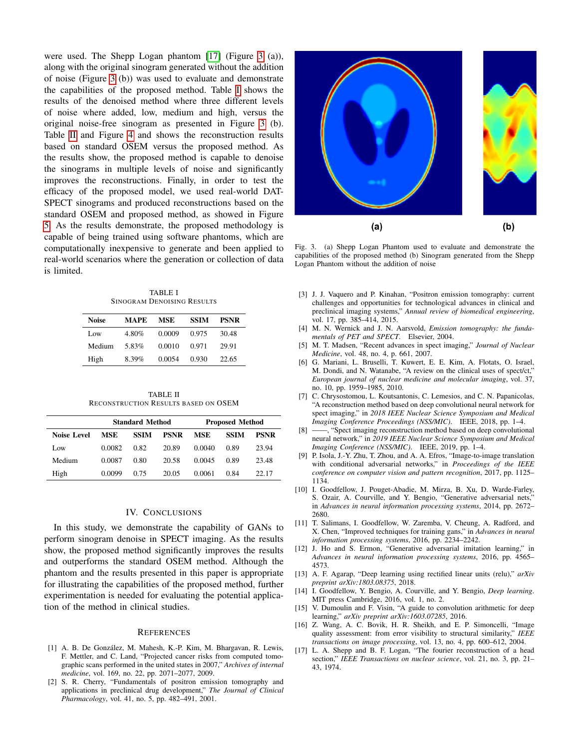were used. The Shepp Logan phantom [\[17\]](#page-2-16) (Figure [3](#page-2-17) (a)), along with the original sinogram generated without the addition of noise (Figure [3](#page-2-17) (b)) was used to evaluate and demonstrate the capabilities of the proposed method. Table [I](#page-2-18) shows the results of the denoised method where three different levels of noise where added, low, medium and high, versus the original noise-free sinogram as presented in Figure [3](#page-2-17) (b). Table [II](#page-2-19) and Figure [4](#page-3-0) and shows the reconstruction results based on standard OSEM versus the proposed method. As the results show, the proposed method is capable to denoise the sinograms in multiple levels of noise and significantly improves the reconstructions. Finally, in order to test the efficacy of the proposed model, we used real-world DAT-SPECT sinograms and produced reconstructions based on the standard OSEM and proposed method, as showed in Figure [5.](#page-3-1) As the results demonstrate, the proposed methodology is capable of being trained using software phantoms, which are computationally inexpensive to generate and been applied to real-world scenarios where the generation or collection of data is limited.

TABLE I SINOGRAM DENOISING RESULTS

<span id="page-2-18"></span>

| Noise  | MAPE  | <b>MSE</b> | <b>SSIM</b> | <b>PSNR</b> |
|--------|-------|------------|-------------|-------------|
| Low    | 4.80% | 0.0009     | 0.975       | 30.48       |
| Medium | 5.83% | 0.0010     | 0.971       | 29.91       |
| High   | 8.39% | 0.0054     | 0.930       | 22.65       |

TABLE II RECONSTRUCTION RESULTS BASED ON OSEM

<span id="page-2-19"></span>

|                    | <b>Standard Method</b> |             |             | <b>Proposed Method</b> |             |             |
|--------------------|------------------------|-------------|-------------|------------------------|-------------|-------------|
| <b>Noise Level</b> | MSE                    | <b>SSIM</b> | <b>PSNR</b> | <b>MSE</b>             | <b>SSIM</b> | <b>PSNR</b> |
| Low                | 0.0082                 | 0.82        | 20.89       | 0.0040                 | 0.89        | 23.94       |
| Medium             | 0.0087                 | 0.80        | 20.58       | 0.0045                 | 0.89        | 23.48       |
| High               | 0.0099                 | 0.75        | 20.05       | 0.0061                 | 0.84        | 22.17       |

## IV. CONCLUSIONS

<span id="page-2-5"></span>In this study, we demonstrate the capability of GANs to perform sinogram denoise in SPECT imaging. As the results show, the proposed method significantly improves the results and outperforms the standard OSEM method. Although the phantom and the results presented in this paper is appropriate for illustrating the capabilities of the proposed method, further experimentation is needed for evaluating the potential application of the method in clinical studies.

#### **REFERENCES**

- <span id="page-2-0"></span>[1] A. B. De González, M. Mahesh, K.-P. Kim, M. Bhargavan, R. Lewis, F. Mettler, and C. Land, "Projected cancer risks from computed tomographic scans performed in the united states in 2007," *Archives of internal medicine*, vol. 169, no. 22, pp. 2071–2077, 2009.
- <span id="page-2-1"></span>[2] S. R. Cherry, "Fundamentals of positron emission tomography and applications in preclinical drug development," *The Journal of Clinical Pharmacology*, vol. 41, no. 5, pp. 482–491, 2001.



<span id="page-2-17"></span>Fig. 3. (a) Shepp Logan Phantom used to evaluate and demonstrate the capabilities of the proposed method (b) Sinogram generated from the Shepp Logan Phantom without the addition of noise

- <span id="page-2-2"></span>[3] J. J. Vaquero and P. Kinahan, "Positron emission tomography: current challenges and opportunities for technological advances in clinical and preclinical imaging systems," *Annual review of biomedical engineering*, vol. 17, pp. 385–414, 2015.
- <span id="page-2-3"></span>[4] M. N. Wernick and J. N. Aarsvold, *Emission tomography: the fundamentals of PET and SPECT*. Elsevier, 2004.
- [5] M. T. Madsen, "Recent advances in spect imaging," *Journal of Nuclear Medicine*, vol. 48, no. 4, p. 661, 2007.
- <span id="page-2-4"></span>[6] G. Mariani, L. Bruselli, T. Kuwert, E. E. Kim, A. Flotats, O. Israel, M. Dondi, and N. Watanabe, "A review on the clinical uses of spect/ct," *European journal of nuclear medicine and molecular imaging*, vol. 37, no. 10, pp. 1959–1985, 2010.
- <span id="page-2-6"></span>[7] C. Chrysostomou, L. Koutsantonis, C. Lemesios, and C. N. Papanicolas, "A reconstruction method based on deep convolutional neural network for spect imaging," in *2018 IEEE Nuclear Science Symposium and Medical Imaging Conference Proceedings (NSS/MIC)*. IEEE, 2018, pp. 1–4. [8] ——, "Spect imaging reconstruction method based on deep convolution
- <span id="page-2-7"></span>-, "Spect imaging reconstruction method based on deep convolutional neural network," in *2019 IEEE Nuclear Science Symposium and Medical Imaging Conference (NSS/MIC)*. IEEE, 2019, pp. 1–4.
- <span id="page-2-8"></span>[9] P. Isola, J.-Y. Zhu, T. Zhou, and A. A. Efros, "Image-to-image translation with conditional adversarial networks," in *Proceedings of the IEEE conference on computer vision and pattern recognition*, 2017, pp. 1125– 1134.
- <span id="page-2-9"></span>[10] I. Goodfellow, J. Pouget-Abadie, M. Mirza, B. Xu, D. Warde-Farley, S. Ozair, A. Courville, and Y. Bengio, "Generative adversarial nets," in *Advances in neural information processing systems*, 2014, pp. 2672– 2680.
- <span id="page-2-10"></span>[11] T. Salimans, I. Goodfellow, W. Zaremba, V. Cheung, A. Radford, and X. Chen, "Improved techniques for training gans," in *Advances in neural information processing systems*, 2016, pp. 2234–2242.
- <span id="page-2-11"></span>[12] J. Ho and S. Ermon, "Generative adversarial imitation learning," in *Advances in neural information processing systems*, 2016, pp. 4565– 4573.
- <span id="page-2-12"></span>[13] A. F. Agarap, "Deep learning using rectified linear units (relu)," *arXiv preprint arXiv:1803.08375*, 2018.
- <span id="page-2-13"></span>[14] I. Goodfellow, Y. Bengio, A. Courville, and Y. Bengio, *Deep learning*. MIT press Cambridge, 2016, vol. 1, no. 2.
- <span id="page-2-14"></span>[15] V. Dumoulin and F. Visin, "A guide to convolution arithmetic for deep learning," *arXiv preprint arXiv:1603.07285*, 2016.
- <span id="page-2-15"></span>[16] Z. Wang, A. C. Bovik, H. R. Sheikh, and E. P. Simoncelli, "Image quality assessment: from error visibility to structural similarity," *IEEE transactions on image processing*, vol. 13, no. 4, pp. 600–612, 2004.
- <span id="page-2-16"></span>[17] L. A. Shepp and B. F. Logan, "The fourier reconstruction of a head section," *IEEE Transactions on nuclear science*, vol. 21, no. 3, pp. 21– 43, 1974.